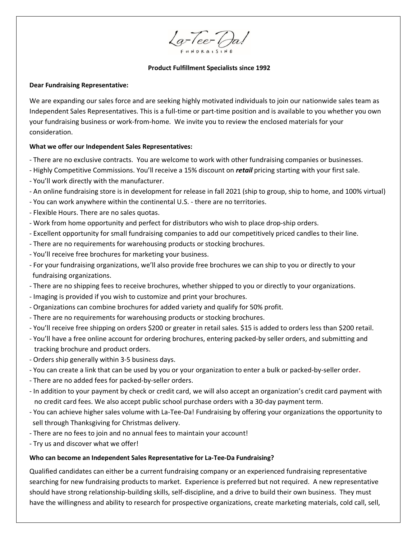La-Tee-Da!

#### **Product Fulfillment Specialists since 1992**

#### **Dear Fundraising Representative:**

We are expanding our sales force and are seeking highly motivated individuals to join our nationwide sales team as Independent Sales Representatives. This is a full-time or part-time position and is available to you whether you own your fundraising business or work-from-home. We invite you to review the enclosed materials for your consideration.

### **What we offer our Independent Sales Representatives:**

- There are no exclusive contracts. You are welcome to work with other fundraising companies or businesses.
- Highly Competitive Commissions. You'll receive a 15% discount on *retail* pricing starting with your first sale.
- You'll work directly with the manufacturer.
- An online fundraising store is in development for release in fall 2021 (ship to group, ship to home, and 100% virtual)
- You can work anywhere within the continental U.S. there are no territories.
- Flexible Hours. There are no sales quotas.
- Work from home opportunity and perfect for distributors who wish to place drop-ship orders.
- Excellent opportunity for small fundraising companies to add our competitively priced candles to their line.
- There are no requirements for warehousing products or stocking brochures.
- You'll receive free brochures for marketing your business.
- For your fundraising organizations, we'll also provide free brochures we can ship to you or directly to your fundraising organizations.
- There are no shipping fees to receive brochures, whether shipped to you or directly to your organizations.
- Imaging is provided if you wish to customize and print your brochures.
- Organizations can combine brochures for added variety and qualify for 50% profit.
- There are no requirements for warehousing products or stocking brochures.
- You'll receive free shipping on orders \$200 or greater in retail sales. \$15 is added to orders less than \$200 retail.
- You'll have a free online account for ordering brochures, entering packed-by seller orders, and submitting and tracking brochure and product orders.
- Orders ship generally within 3-5 business days.
- You can create a link that can be used by you or your organization to enter a bulk or packed-by-seller order**.**
- There are no added fees for packed-by-seller orders.
- In addition to your payment by check or credit card, we will also accept an organization's credit card payment with no credit card fees. We also accept public school purchase orders with a 30-day payment term.
- You can achieve higher sales volume with La-Tee-Da! Fundraising by offering your organizations the opportunity to sell through Thanksgiving for Christmas delivery.
- There are no fees to join and no annual fees to maintain your account!
- Try us and discover what we offer!

### **Who can become an Independent Sales Representative for La-Tee-Da Fundraising?**

Qualified candidates can either be a current fundraising company or an experienced fundraising representative searching for new fundraising products to market. Experience is preferred but not required. A new representative should have strong relationship-building skills, self-discipline, and a drive to build their own business. They must have the willingness and ability to research for prospective organizations, create marketing materials, cold call, sell,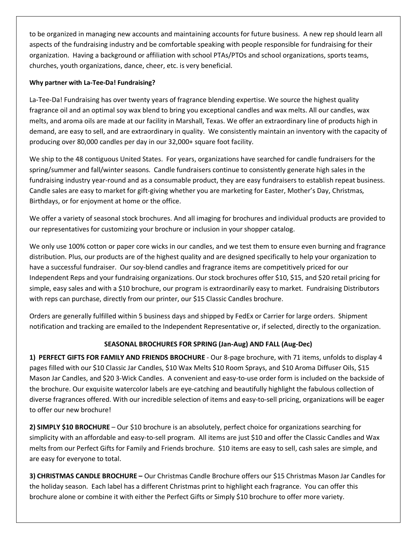to be organized in managing new accounts and maintaining accounts for future business. A new rep should learn all aspects of the fundraising industry and be comfortable speaking with people responsible for fundraising for their organization. Having a background or affiliation with school PTAs/PTOs and school organizations, sports teams, churches, youth organizations, dance, cheer, etc. is very beneficial.

### **Why partner with La-Tee-Da! Fundraising?**

La-Tee-Da! Fundraising has over twenty years of fragrance blending expertise. We source the highest quality fragrance oil and an optimal soy wax blend to bring you exceptional candles and wax melts. All our candles, wax melts, and aroma oils are made at our facility in Marshall, Texas. We offer an extraordinary line of products high in demand, are easy to sell, and are extraordinary in quality. We consistently maintain an inventory with the capacity of producing over 80,000 candles per day in our 32,000+ square foot facility.

We ship to the 48 contiguous United States. For years, organizations have searched for candle fundraisers for the spring/summer and fall/winter seasons. Candle fundraisers continue to consistently generate high sales in the fundraising industry year-round and as a consumable product, they are easy fundraisers to establish repeat business. Candle sales are easy to market for gift-giving whether you are marketing for Easter, Mother's Day, Christmas, Birthdays, or for enjoyment at home or the office.

We offer a variety of seasonal stock brochures. And all imaging for brochures and individual products are provided to our representatives for customizing your brochure or inclusion in your shopper catalog.

We only use 100% cotton or paper core wicks in our candles, and we test them to ensure even burning and fragrance distribution. Plus, our products are of the highest quality and are designed specifically to help your organization to have a successful fundraiser. Our soy-blend candles and fragrance items are competitively priced for our Independent Reps and your fundraising organizations. Our stock brochures offer \$10, \$15, and \$20 retail pricing for simple, easy sales and with a \$10 brochure, our program is extraordinarily easy to market. Fundraising Distributors with reps can purchase, directly from our printer, our \$15 Classic Candles brochure.

Orders are generally fulfilled within 5 business days and shipped by FedEx or Carrier for large orders. Shipment notification and tracking are emailed to the Independent Representative or, if selected, directly to the organization.

# **SEASONAL BROCHURES FOR SPRING (Jan-Aug) AND FALL (Aug-Dec)**

**1) PERFECT GIFTS FOR FAMILY AND FRIENDS BROCHURE** - Our 8-page brochure, with 71 items, unfolds to display 4 pages filled with our \$10 Classic Jar Candles, \$10 Wax Melts \$10 Room Sprays, and \$10 Aroma Diffuser Oils, \$15 Mason Jar Candles, and \$20 3-Wick Candles. A convenient and easy-to-use order form is included on the backside of the brochure. Our exquisite watercolor labels are eye-catching and beautifully highlight the fabulous collection of diverse fragrances offered. With our incredible selection of items and easy-to-sell pricing, organizations will be eager to offer our new brochure!

**2) SIMPLY \$10 BROCHURE** – Our \$10 brochure is an absolutely, perfect choice for organizations searching for simplicity with an affordable and easy-to-sell program. All items are just \$10 and offer the Classic Candles and Wax melts from our Perfect Gifts for Family and Friends brochure. \$10 items are easy to sell, cash sales are simple, and are easy for everyone to total.

**3) CHRISTMAS CANDLE BROCHURE –** Our Christmas Candle Brochure offers our \$15 Christmas Mason Jar Candles for the holiday season. Each label has a different Christmas print to highlight each fragrance. You can offer this brochure alone or combine it with either the Perfect Gifts or Simply \$10 brochure to offer more variety.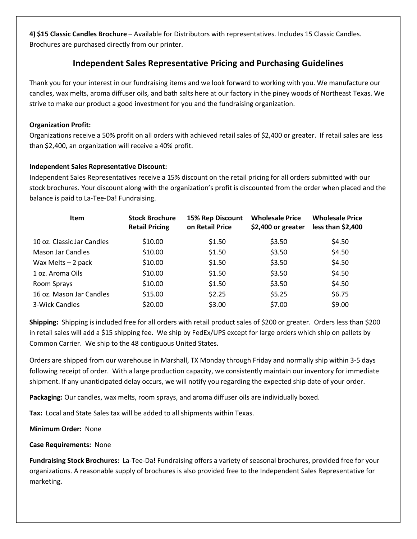**4) \$15 Classic Candles Brochure** – Available for Distributors with representatives. Includes 15 Classic Candles. Brochures are purchased directly from our printer.

# **Independent Sales Representative Pricing and Purchasing Guidelines**

Thank you for your interest in our fundraising items and we look forward to working with you. We manufacture our candles, wax melts, aroma diffuser oils, and bath salts here at our factory in the piney woods of Northeast Texas. We strive to make our product a good investment for you and the fundraising organization.

## **Organization Profit:**

Organizations receive a 50% profit on all orders with achieved retail sales of \$2,400 or greater. If retail sales are less than \$2,400, an organization will receive a 40% profit.

# **Independent Sales Representative Discount:**

Independent Sales Representatives receive a 15% discount on the retail pricing for all orders submitted with our stock brochures. Your discount along with the organization's profit is discounted from the order when placed and the balance is paid to La-Tee-Da! Fundraising.

| <b>Item</b>                | <b>Stock Brochure</b><br><b>Retail Pricing</b> | <b>15% Rep Discount</b><br>on Retail Price | <b>Wholesale Price</b><br>\$2,400 or greater | <b>Wholesale Price</b><br>less than \$2,400 |
|----------------------------|------------------------------------------------|--------------------------------------------|----------------------------------------------|---------------------------------------------|
| 10 oz. Classic Jar Candles | \$10.00                                        | \$1.50                                     | \$3.50                                       | \$4.50                                      |
| Mason Jar Candles          | \$10.00                                        | \$1.50                                     | \$3.50                                       | \$4.50                                      |
| Wax Melts $-2$ pack        | \$10.00                                        | \$1.50                                     | \$3.50                                       | \$4.50                                      |
| 1 oz. Aroma Oils           | \$10.00                                        | \$1.50                                     | \$3.50                                       | \$4.50                                      |
| Room Sprays                | \$10.00                                        | \$1.50                                     | \$3.50                                       | \$4.50                                      |
| 16 oz. Mason Jar Candles   | \$15.00                                        | \$2.25                                     | \$5.25                                       | \$6.75                                      |
| 3-Wick Candles             | \$20.00                                        | \$3.00                                     | \$7.00                                       | \$9.00                                      |

**Shipping:** Shipping is included free for all orders with retail product sales of \$200 or greater. Orders less than \$200 in retail sales will add a \$15 shipping fee. We ship by FedEx/UPS except for large orders which ship on pallets by Common Carrier. We ship to the 48 contiguous United States.

Orders are shipped from our warehouse in Marshall, TX Monday through Friday and normally ship within 3-5 days following receipt of order. With a large production capacity, we consistently maintain our inventory for immediate shipment. If any unanticipated delay occurs, we will notify you regarding the expected ship date of your order.

**Packaging:** Our candles, wax melts, room sprays, and aroma diffuser oils are individually boxed.

**Tax:** Local and State Sales tax will be added to all shipments within Texas.

**Minimum Order:** None

**Case Requirements:** None

**Fundraising Stock Brochures:** La-Tee-Da**!** Fundraising offers a variety of seasonal brochures, provided free for your organizations. A reasonable supply of brochures is also provided free to the Independent Sales Representative for marketing.